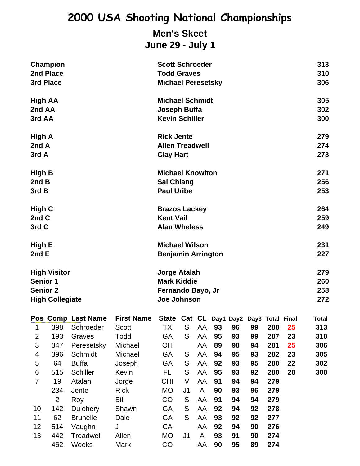## **Men's Skeet June 29 - July 1**

|                             | Champion<br>2nd Place<br>3rd Place                                                  |                    |                                                    |                                                                        | <b>Scott Schroeder</b><br><b>Todd Graves</b><br><b>Michael Peresetsky</b> |    |    |    |    |     |            | 313<br>310<br>306        |
|-----------------------------|-------------------------------------------------------------------------------------|--------------------|----------------------------------------------------|------------------------------------------------------------------------|---------------------------------------------------------------------------|----|----|----|----|-----|------------|--------------------------|
| High AA<br>2nd AA<br>3rd AA |                                                                                     |                    |                                                    | <b>Michael Schmidt</b><br>Joseph Buffa<br><b>Kevin Schiller</b>        |                                                                           |    |    |    |    |     |            | 305<br>302<br>300        |
| High A<br>2nd A<br>3rd A    |                                                                                     |                    |                                                    | <b>Rick Jente</b><br><b>Allen Treadwell</b><br><b>Clay Hart</b>        |                                                                           |    |    |    |    |     |            | 279<br>274<br>273        |
| High B<br>2ndB<br>3rd B     |                                                                                     |                    |                                                    | <b>Michael Knowlton</b><br>Sai Chiang<br><b>Paul Uribe</b>             |                                                                           |    |    |    |    |     |            | 271<br>256<br>253        |
| High C<br>2nd C<br>3rd C    |                                                                                     |                    |                                                    | <b>Brazos Lackey</b><br><b>Kent Vail</b><br><b>Alan Wheless</b>        |                                                                           |    |    |    |    |     |            | 264<br>259<br>249        |
|                             | High E<br>2 $ndE$                                                                   |                    | <b>Michael Wilson</b><br><b>Benjamin Arrington</b> |                                                                        |                                                                           |    |    |    |    |     | 231<br>227 |                          |
|                             | <b>High Visitor</b><br><b>Senior 1</b><br><b>Senior 2</b><br><b>High Collegiate</b> |                    |                                                    | Jorge Atalah<br><b>Mark Kiddie</b><br>Fernando Bayo, Jr<br>Joe Johnson |                                                                           |    |    |    |    |     |            | 279<br>260<br>258<br>272 |
|                             |                                                                                     | Pos Comp Last Name | <b>First Name</b>                                  | State Cat CL Day1 Day2 Day3 Total Final                                |                                                                           |    |    |    |    |     |            | <b>Total</b>             |
| 1                           | 398                                                                                 | Schroeder          | <b>Scott</b>                                       | ТX                                                                     | S                                                                         | AA | 93 | 96 | 99 | 288 | 25         | 313                      |
| $\overline{c}$              | 193                                                                                 | Graves             | Todd                                               | GA                                                                     | S                                                                         | AA | 95 | 93 | 99 | 287 | 23         | 310                      |
| 3                           | 347                                                                                 | Peresetsky         | Michael                                            | OH                                                                     |                                                                           | AA | 89 | 98 | 94 | 281 | 25         | 306                      |
| 4                           | 396                                                                                 | Schmidt            | Michael                                            | GA                                                                     | S                                                                         | AA | 94 | 95 | 93 | 282 | 23         | 305                      |
| 5                           | 64                                                                                  | <b>Buffa</b>       | Joseph                                             | GA                                                                     | ${\mathsf S}$                                                             | AA | 92 | 93 | 95 | 280 | 22         | 302                      |
| 6                           | 515                                                                                 | Schiller           | Kevin                                              | FL                                                                     | S                                                                         | AA | 95 | 93 | 92 | 280 | 20         | 300                      |
| $\overline{7}$              | 19                                                                                  | Atalah             | Jorge                                              | <b>CHI</b>                                                             | V                                                                         | AA | 91 | 94 | 94 | 279 |            |                          |
|                             | 234                                                                                 | Jente              | <b>Rick</b>                                        | <b>MO</b>                                                              | J1                                                                        | A  | 90 | 93 | 96 | 279 |            |                          |
|                             | $\overline{2}$                                                                      | Roy                | Bill                                               | CO                                                                     | S                                                                         | AA | 91 | 94 | 94 | 279 |            |                          |
| 10                          | 142                                                                                 | Dulohery           | Shawn                                              | GA                                                                     | S                                                                         | AA | 92 | 94 | 92 | 278 |            |                          |
| 11                          | 62                                                                                  | <b>Brunelle</b>    | Dale                                               | GA                                                                     | S                                                                         | AA | 93 | 92 | 92 | 277 |            |                          |
| 12                          | 514                                                                                 | Vaughn             | J                                                  | CA                                                                     |                                                                           | AA | 92 | 94 | 90 | 276 |            |                          |
| 13                          | 442                                                                                 | Treadwell          | Allen                                              | MO                                                                     | J <sub>1</sub>                                                            | A  | 93 | 91 | 90 | 274 |            |                          |
|                             | 462                                                                                 | Weeks              | Mark                                               | CO                                                                     |                                                                           | AA | 90 | 95 | 89 | 274 |            |                          |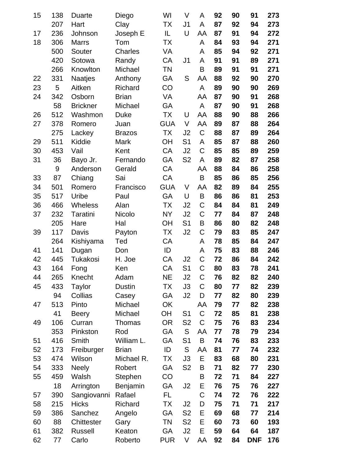| 15 | 138 | <b>Duarte</b>   | Diego          | WI         | V              | Α              | 92 | 90 | 91         | 273 |
|----|-----|-----------------|----------------|------------|----------------|----------------|----|----|------------|-----|
|    | 207 | Hart            | Clay           | ТX         | J <sub>1</sub> | A              | 87 | 92 | 94         | 273 |
| 17 | 236 | Johnson         | Joseph E       | IL         | U              | AA             | 87 | 91 | 94         | 272 |
| 18 | 306 | <b>Marrs</b>    | Tom            | ТX         |                | A              | 84 | 93 | 94         | 271 |
|    | 500 | Souter          | <b>Charles</b> | VA         |                | A              | 85 | 94 | 92         | 271 |
|    | 420 | Sotowa          | Randy          | CA         | J1             | A              | 91 | 91 | 89         | 271 |
|    | 266 | Knowlton        | Michael        | <b>TN</b>  |                | B              | 89 | 91 | 91         | 271 |
| 22 | 331 | <b>Naatjes</b>  | Anthony        | GA         | S              | AA             | 88 | 92 | 90         | 270 |
| 23 | 5   | Aitken          | Richard        | CO         |                | A              | 89 | 90 | 90         | 269 |
| 24 | 342 | Osborn          | <b>Brian</b>   | VA         |                | AA             | 87 | 90 | 91         | 268 |
|    | 58  | <b>Brickner</b> | Michael        | GA         |                | A              | 87 | 90 | 91         | 268 |
| 26 | 512 | Washmon         | <b>Duke</b>    | TX         | U              | AA             | 88 | 90 | 88         | 266 |
| 27 | 378 | Romero          | Juan           | <b>GUA</b> | V              | AA             | 89 | 87 | 88         | 264 |
|    | 275 | Lackey          | <b>Brazos</b>  | <b>TX</b>  | J <sub>2</sub> | $\mathsf C$    | 88 | 87 | 89         | 264 |
| 29 | 511 | Kiddie          | Mark           | OH         | S <sub>1</sub> | A              | 85 | 87 | 88         | 260 |
| 30 | 453 | Vail            | Kent           | CA         | J <sub>2</sub> | $\mathsf C$    | 85 | 85 | 89         | 259 |
| 31 | 36  | Bayo Jr.        | Fernando       | GA         | S <sub>2</sub> | A              | 89 | 82 | 87         | 258 |
|    | 9   | Anderson        | Gerald         | CA         |                | AA             | 88 | 84 | 86         | 258 |
| 33 | 87  | Chiang          | Sai            | CA         |                | B              | 85 | 86 | 85         | 256 |
| 34 | 501 | Romero          | Francisco      | <b>GUA</b> | V              | AA             | 82 | 89 | 84         | 255 |
| 35 | 517 | Uribe           | Paul           | GA         | U              | B              | 86 | 86 | 81         | 253 |
| 36 | 466 | <b>Wheless</b>  | Alan           | TX         | J <sub>2</sub> | C              | 84 | 84 | 81         | 249 |
| 37 | 232 | Taratini        | Nicolo         | <b>NY</b>  | J <sub>2</sub> | $\mathsf C$    | 77 | 84 | 87         | 248 |
|    | 205 | Hare            | Hal            | <b>OH</b>  | S <sub>1</sub> | B              | 86 | 80 | 82         | 248 |
| 39 | 117 | Davis           | Payton         | <b>TX</b>  | J <sub>2</sub> | $\mathsf C$    | 79 | 83 | 85         | 247 |
|    | 264 | Kishiyama       | Ted            | CA         |                | A              | 78 | 85 | 84         | 247 |
| 41 | 141 | Dugan           | Don            | ID         |                | A              | 75 | 83 | 88         | 246 |
| 42 | 445 | Tukakosi        | H. Joe         | CA         | J2             | C              | 72 | 86 | 84         | 242 |
| 43 | 164 | Fong            | Ken            | CA         | S <sub>1</sub> | C              | 80 | 83 | 78         | 241 |
| 44 | 265 | Knecht          | Adam           | NE         | J2             | C              | 76 | 82 | 82         | 240 |
| 45 | 433 | Taylor          | Dustin         | TX         | J3             | C              | 80 | 77 | 82         | 239 |
|    | 94  | Collias         | Casey          | GA         | J2             | D              | 77 | 82 | 80         | 239 |
| 47 | 513 | Pinto           | Michael        | OK         |                | AA             | 79 | 77 | 82         | 238 |
|    | 41  | <b>Beery</b>    | Michael        | <b>OH</b>  | S <sub>1</sub> | $\mathsf C$    | 72 | 85 | 81         | 238 |
| 49 | 106 | Curran          | Thomas         | OR         | S <sub>2</sub> | $\mathsf C$    | 75 | 76 | 83         | 234 |
|    | 353 | Pinkston        | Rod            | GA         | S              | AA             | 77 | 78 | 79         | 234 |
| 51 | 416 | Smith           | William L.     | GA         | S <sub>1</sub> | B              | 74 | 76 | 83         | 233 |
| 52 | 173 | Freiburger      | <b>Brian</b>   | ID         | S              | AA             | 81 | 77 | 74         | 232 |
| 53 | 474 | Wilson          | Michael R.     | ТX         | J3             | Ε              | 83 | 68 | 80         | 231 |
| 54 | 333 | <b>Neely</b>    | Robert         | GA         | S <sub>2</sub> | Β              | 71 | 82 | 77         | 230 |
| 55 | 459 | Walsh           | Stephen        | CO         |                | B              | 72 | 71 | 84         | 227 |
|    | 18  | Arrington       | Benjamin       | GA         | J <sub>2</sub> | Е              | 76 | 75 | 76         | 227 |
| 57 | 390 | Sangiovanni     | Rafael         | FL         |                | $\overline{C}$ | 74 | 72 | 76         | 222 |
| 58 | 215 | <b>Hicks</b>    | Richard        | ТX         | J2             | D              | 75 | 71 | 71         | 217 |
| 59 | 386 | Sanchez         | Angelo         | GA         | S <sub>2</sub> | Е              | 69 | 68 | 77         | 214 |
| 60 | 88  | Chittester      | Gary           | ΤN         | S <sub>2</sub> | Е              | 60 | 73 | 60         | 193 |
| 61 | 382 | <b>Russell</b>  | Keaton         | GA         | J2             | E              | 59 | 64 | 64         | 187 |
| 62 | 77  | Carlo           | Roberto        | <b>PUR</b> | V              | AA             | 92 | 84 | <b>DNF</b> | 176 |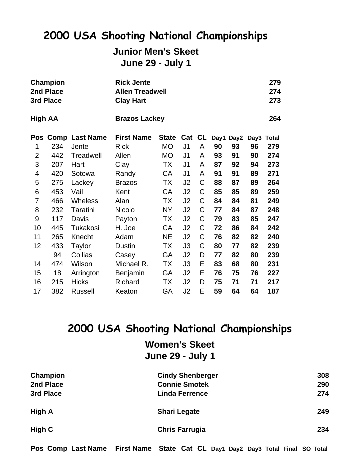# **Junior Men's Skeet**

**June 29 - July 1**

|                | Champion<br>2nd Place<br>3rd Place |                       | <b>Rick Jente</b><br><b>Allen Treadwell</b><br><b>Clay Hart</b> |              | 279<br>274<br>273 |             |    |                  |    |            |  |
|----------------|------------------------------------|-----------------------|-----------------------------------------------------------------|--------------|-------------------|-------------|----|------------------|----|------------|--|
| <b>High AA</b> |                                    |                       | <b>Brazos Lackey</b>                                            |              |                   |             |    |                  |    | 264        |  |
| Pos            |                                    | <b>Comp Last Name</b> | <b>First Name</b>                                               | <b>State</b> |                   |             |    | Cat CL Day1 Day2 |    | Day3 Total |  |
| 1              | 234                                | Jente                 | <b>Rick</b>                                                     | <b>MO</b>    | J <sub>1</sub>    | A           | 90 | 93               | 96 | 279        |  |
| $\overline{2}$ | 442                                | Treadwell             | Allen                                                           | <b>MO</b>    | J <sub>1</sub>    | A           | 93 | 91               | 90 | 274        |  |
| 3              | 207                                | Hart                  | Clay                                                            | TX           | J <sub>1</sub>    | A           | 87 | 92               | 94 | 273        |  |
| 4              | 420                                | Sotowa                | Randy                                                           | CA           | J <sub>1</sub>    | A           | 91 | 91               | 89 | 271        |  |
| 5              | 275                                | Lackey                | <b>Brazos</b>                                                   | TX           | J2                | C           | 88 | 87               | 89 | 264        |  |
| 6              | 453                                | Vail                  | Kent                                                            | CA           | J <sub>2</sub>    | $\mathsf C$ | 85 | 85               | 89 | 259        |  |
| 7              | 466                                | <b>Wheless</b>        | Alan                                                            | TX           | J2                | $\mathsf C$ | 84 | 84               | 81 | 249        |  |
| 8              | 232                                | Taratini              | Nicolo                                                          | NY.          | J <sub>2</sub>    | C           | 77 | 84               | 87 | 248        |  |
| 9              | 117                                | Davis                 | Payton                                                          | TX           | J2                | C           | 79 | 83               | 85 | 247        |  |
| 10             | 445                                | Tukakosi              | H. Joe                                                          | CA           | J2                | C           | 72 | 86               | 84 | 242        |  |
| 11             | 265                                | Knecht                | Adam                                                            | <b>NE</b>    | J2                | C           | 76 | 82               | 82 | 240        |  |
| 12             | 433                                | Taylor                | Dustin                                                          | TX           | J3                | C           | 80 | 77               | 82 | 239        |  |
|                | 94                                 | Collias               | Casey                                                           | GA           | J <sub>2</sub>    | D           | 77 | 82               | 80 | 239        |  |
| 14             | 474                                | Wilson                | Michael R.                                                      | TX           | J3                | Е           | 83 | 68               | 80 | 231        |  |
| 15             | 18                                 | Arrington             | <b>Benjamin</b>                                                 | GA           | J <sub>2</sub>    | E           | 76 | 75               | 76 | 227        |  |
| 16             | 215                                | <b>Hicks</b>          | Richard                                                         | ТX           | J2                | D           | 75 | 71               | 71 | 217        |  |
| 17             | 382                                | <b>Russell</b>        | Keaton                                                          | GA           | J2                | E           | 59 | 64               | 64 | 187        |  |

## **2000 USA Shooting National Championships**

**Women's Skeet June 29 - July 1**

| Champion  | <b>Cindy Shenberger</b> | 308 |
|-----------|-------------------------|-----|
| 2nd Place | <b>Connie Smotek</b>    | 290 |
| 3rd Place | <b>Linda Ferrence</b>   | 274 |
| High A    | <b>Shari Legate</b>     | 249 |
| High C    | <b>Chris Farrugia</b>   | 234 |

**Pos Comp Last Name First Name State Cat CL Day1 Day2 Day3 Total Final SO Total**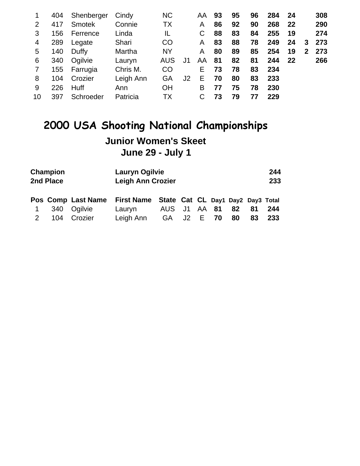| $\mathbf{1}$   | 404 | Shenberger    | Cindy     | <b>NC</b>  |    | AA | 93 | 95 | 96 | 284 | 24 |              | 308 |
|----------------|-----|---------------|-----------|------------|----|----|----|----|----|-----|----|--------------|-----|
| 2              | 417 | <b>Smotek</b> | Connie    | ТX         |    | A  | 86 | 92 | 90 | 268 | 22 |              | 290 |
| 3              | 156 | Ferrence      | Linda     | IL         |    |    | 88 | 83 | 84 | 255 | 19 |              | 274 |
| 4              | 289 | Legate        | Shari     | <b>CO</b>  |    | A  | 83 | 88 | 78 | 249 | 24 | 3            | 273 |
| 5              | 140 | Duffy         | Martha    | <b>NY</b>  |    | Α  | 80 | 89 | 85 | 254 | 19 | $\mathbf{2}$ | 273 |
| 6              | 340 | Ogilvie       | Lauryn    | <b>AUS</b> | J1 | AA | 81 | 82 | 81 | 244 | 22 |              | 266 |
| $\overline{7}$ | 155 | Farrugia      | Chris M.  | <b>CO</b>  |    | Е  | 73 | 78 | 83 | 234 |    |              |     |
| 8              | 104 | Crozier       | Leigh Ann | GA         | J2 | Е  | 70 | 80 | 83 | 233 |    |              |     |
| 9              | 226 | <b>Huff</b>   | Ann       | <b>OH</b>  |    | В  | 77 | 75 | 78 | 230 |    |              |     |
| 10             | 397 | Schroeder     | Patricia  | <b>TX</b>  |    |    | 73 | 79 | 77 | 229 |    |              |     |
|                |     |               |           |            |    |    |    |    |    |     |    |              |     |

# **2000 USA Shooting National Championships Junior Women's Skeet June 29 - July 1**

| Champion<br>2nd Place |     |                    | <b>Lauryn Ogilvie</b><br><b>Leigh Ann Crozier</b> |              | 244<br>233 |    |    |    |    |     |  |
|-----------------------|-----|--------------------|---------------------------------------------------|--------------|------------|----|----|----|----|-----|--|
|                       |     | Pos Comp Last Name | First Name State Cat CL Day1 Day2 Day3 Total      |              |            |    |    |    |    |     |  |
|                       | 340 | Ogilvie            | Lauryn                                            | AUS J1 AA 81 |            |    |    | 82 | 81 | 244 |  |
|                       | 104 | Crozier            | Leigh Ann                                         | GA –         | J2 l       | E. | 70 | 80 | 83 | 233 |  |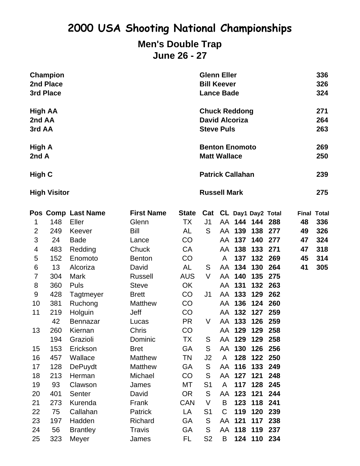#### **Men's Double Trap June 26 - 27**

|                  | Champion<br>2nd Place<br>3rd Place |                    |                   |              | <b>Glenn Eller</b><br><b>Bill Keever</b><br><b>Lance Bade</b>      |    |     |                        |     |            | 336<br>326<br>324  |  |
|------------------|------------------------------------|--------------------|-------------------|--------------|--------------------------------------------------------------------|----|-----|------------------------|-----|------------|--------------------|--|
| 2nd AA<br>3rd AA | <b>High AA</b>                     |                    |                   |              | <b>Chuck Reddong</b><br><b>David Alcoriza</b><br><b>Steve Puls</b> |    |     |                        |     |            | 271<br>264<br>263  |  |
| High A<br>2nd A  |                                    |                    |                   |              | <b>Benton Enomoto</b><br><b>Matt Wallace</b>                       |    |     |                        |     | 269<br>250 |                    |  |
| High C           |                                    |                    |                   |              | <b>Patrick Callahan</b>                                            |    |     |                        |     |            | 239                |  |
|                  | <b>High Visitor</b>                |                    |                   |              | <b>Russell Mark</b><br>275                                         |    |     |                        |     |            |                    |  |
|                  |                                    | Pos Comp Last Name | <b>First Name</b> | <b>State</b> |                                                                    |    |     | Cat CL Day1 Day2 Total |     |            | <b>Final Total</b> |  |
| 1                | 148                                | Eller              | Glenn             | TX           | J1                                                                 |    |     | AA 144 144 288         |     | 48         | 336                |  |
| $\overline{2}$   | 249                                | Keever             | Bill              | AL           | S                                                                  | AA | 139 | 138                    | 277 | 49         | 326                |  |
| 3                | 24                                 | <b>Bade</b>        | Lance             | <b>CO</b>    |                                                                    | AA | 137 | 140                    | 277 | 47         | 324                |  |
| 4                | 483                                | Redding            | Chuck             | CA           |                                                                    | AA | 138 | 133                    | 271 | 47         | 318                |  |
| 5                | 152                                | Enomoto            | <b>Benton</b>     | CO           |                                                                    | A  | 137 | 132                    | 269 | 45         | 314                |  |
| 6                | 13                                 | Alcoriza           | David             | AL           | S                                                                  | AA | 134 | 130                    | 264 | 41         | 305                |  |
| 7                | 304                                | <b>Mark</b>        | <b>Russell</b>    | <b>AUS</b>   | V                                                                  | AA | 140 | 135                    | 275 |            |                    |  |
| 8                | 360                                | Puls               | <b>Steve</b>      | <b>OK</b>    |                                                                    | AA | 131 | 132                    | 263 |            |                    |  |
| 9                | 428                                | Tagtmeyer          | <b>Brett</b>      | CO           | J1                                                                 | AA | 133 | 129                    | 262 |            |                    |  |
| 10               | 381                                | Ruchong            | <b>Matthew</b>    | CO           |                                                                    | AA | 136 | 124                    | 260 |            |                    |  |
| 11               | 219                                | Holguin            | Jeff              | CO           |                                                                    | AA | 132 | 127                    | 259 |            |                    |  |
|                  | 42                                 | <b>Bennazar</b>    | Lucas             | <b>PR</b>    | V                                                                  | AA | 133 | 126                    | 259 |            |                    |  |
| 13               | 260                                | Kiernan            | Chris             | CO           |                                                                    | AA | 129 | 129                    | 258 |            |                    |  |
|                  | 194                                | Grazioli           | Dominic           | TX.          | S                                                                  |    |     | AA 129 129             | 258 |            |                    |  |
| 15               | 153                                | Erickson           | <b>Bret</b>       | <b>GA</b>    | S                                                                  | AA | 130 | 126                    | 256 |            |                    |  |
| 16               | 457                                | Wallace            | Matthew           | <b>TN</b>    | J <sub>2</sub>                                                     | A  | 128 | 122                    | 250 |            |                    |  |
| 17               | 128                                | <b>DePuydt</b>     | Matthew           | GA           | S                                                                  | AA | 116 | 133                    | 249 |            |                    |  |
| 18               | 213                                | Herman             | Michael           | CO           | S                                                                  | AA | 127 | 121                    | 248 |            |                    |  |
| 19               | 93                                 | Clawson            | James             | MT           | S <sub>1</sub>                                                     | A  | 117 | 128                    | 245 |            |                    |  |
| 20               | 401                                | Senter             | David             | <b>OR</b>    | S                                                                  | AA | 123 | 121                    | 244 |            |                    |  |
| 21               | 273                                | Kurenda            | Frank             | <b>CAN</b>   | V                                                                  | B  | 123 | 118                    | 241 |            |                    |  |
| 22               | 75                                 | Callahan           | Patrick           | LA           | S <sub>1</sub>                                                     | C  | 119 | 120                    | 239 |            |                    |  |
| 23               | 197                                | Hadden             | Richard           | <b>GA</b>    | ${\mathsf S}$                                                      | AA | 121 | 117                    | 238 |            |                    |  |
| 24               | 56                                 | <b>Brantley</b>    | <b>Travis</b>     | GA           | S                                                                  | AA | 118 | 119                    | 237 |            |                    |  |
| 25               | 323                                | Meyer              | James             | FL.          | S <sub>2</sub>                                                     | B  |     | 124 110 234            |     |            |                    |  |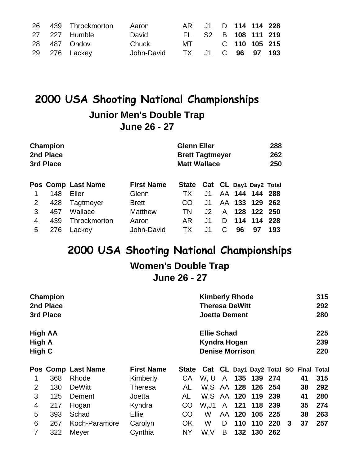|  | 26 439 Throckmorton | Aaron      |                   | AR J1 D 114 114 228 |  |  |
|--|---------------------|------------|-------------------|---------------------|--|--|
|  | 27 227 Humble       | David      |                   | FL S2 B 108 111 219 |  |  |
|  | 28 487 Ondov        | Chuck      | MT C 110 105 215  |                     |  |  |
|  | 29 276 Lackey       | John-David | TX J1 C 96 97 193 |                     |  |  |

#### **Junior Men's Double Trap June 26 - 27**

|   | Champion<br>2nd Place<br>3rd Place |                    |                   | <b>Glenn Eller</b><br><b>Brett Tagtmeyer</b><br><b>Matt Wallace</b> |     | 288<br>262<br>250 |     |                |      |
|---|------------------------------------|--------------------|-------------------|---------------------------------------------------------------------|-----|-------------------|-----|----------------|------|
|   |                                    | Pos Comp Last Name | <b>First Name</b> | State Cat CL Day1 Day2 Total                                        |     |                   |     |                |      |
|   | 148                                | Eller              | Glenn             | TX.                                                                 | J1  |                   |     | AA 144 144 288 |      |
| 2 | 428                                | Tagtmeyer          | <b>Brett</b>      | CO                                                                  | J1. |                   |     | AA 133 129     | -262 |
| 3 | 457                                | Wallace            | <b>Matthew</b>    | TN.                                                                 | J2  | A                 |     | 128 122 250    |      |
| 4 | 439                                | Throckmorton       | Aaron             | AR                                                                  | J1  | D                 | 114 | 114            | 228  |
| 5 | 276                                | Lackey             | John-David        | TХ                                                                  | J1  | C                 | 96  | 97             | 193  |

## **2000 USA Shooting National Championships**

# **Women's Double Trap**

### **June 26 - 27**

|         | Champion  |                    |                   |           |                                             | <b>Kimberly Rhode</b> |     |                    |         |    |    |     |
|---------|-----------|--------------------|-------------------|-----------|---------------------------------------------|-----------------------|-----|--------------------|---------|----|----|-----|
|         | 2nd Place |                    |                   |           | <b>Theresa DeWitt</b>                       |                       |     |                    |         |    |    | 292 |
|         | 3rd Place |                    |                   |           | <b>Joetta Dement</b>                        |                       |     |                    |         |    |    | 280 |
| High AA |           |                    |                   |           | <b>Ellie Schad</b>                          |                       |     |                    |         |    |    | 225 |
| High A  |           |                    |                   |           | Kyndra Hogan                                |                       |     |                    |         |    |    | 239 |
| High C  |           |                    |                   |           | <b>Denise Morrison</b>                      |                       |     |                    |         |    |    | 220 |
|         |           | Pos Comp Last Name | <b>First Name</b> |           | State Cat CL Day1 Day2 Total SO Final Total |                       |     |                    |         |    |    |     |
|         | 368       | Rhode              | Kimberly          | CA        | W.U                                         | A                     |     | 135 139 274        |         |    | 41 | 315 |
| 2       | 130       | <b>DeWitt</b>      | Theresa           | AL        | W.S                                         |                       |     | AA 128 126 254     |         |    | 38 | 292 |
| 3       | 125       | Dement             | Joetta            | AL        |                                             |                       |     | W.S AA 120 119 239 |         |    | 41 | 280 |
| 4       | 217       | Hogan              | Kyndra            | CO        | W,J1                                        | A                     | 121 | 118 239            |         |    | 35 | 274 |
| 5       | 393       | Schad              | Ellie             | <b>CO</b> | W                                           | AA                    | 120 | 105 225            |         |    | 38 | 263 |
| 6       | 267       | Koch-Paramore      | Carolyn           | <b>OK</b> | W                                           | D                     | 110 |                    | 110 220 | -3 | 37 | 257 |
| 7       | 322       | Meyer              | Cynthia           | <b>NY</b> | W,V                                         | B                     | 132 | 130 262            |         |    |    |     |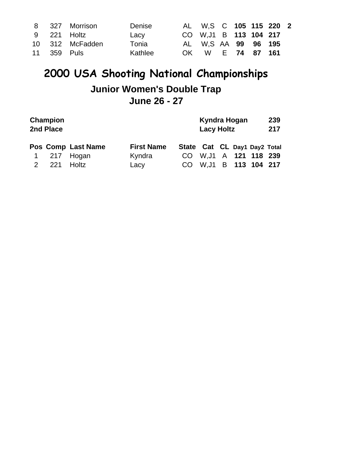|  | 8 327 Morrison  | Denise  |     | AL W.S C 105 115 220 2 |  |               |  |
|--|-----------------|---------|-----|------------------------|--|---------------|--|
|  | 9 221 Holtz     | Lacy    |     | CO W, J1 B 113 104 217 |  |               |  |
|  | 10 312 McFadden | Tonia   |     | AL W.S AA 99 96 195    |  |               |  |
|  | 11 359 Puls     | Kathlee | OK. |                        |  | W E 74 87 161 |  |

## **2000 USA Shooting National Championships Junior Women's Double Trap June 26 - 27**

|   | Champion<br>2nd Place |                    |                   |                              | Kyndra Hogan<br><b>Lacy Holtz</b> |  | 239<br>217 |
|---|-----------------------|--------------------|-------------------|------------------------------|-----------------------------------|--|------------|
|   |                       | Pos Comp Last Name | <b>First Name</b> | State Cat CL Day1 Day2 Total |                                   |  |            |
|   |                       | 1 217 Hogan        | Kyndra            |                              | CO W, J1 A 121 118 239            |  |            |
| 2 |                       | 221 Holtz          | Lacy              | CO                           | W.J1 B 113 104 217                |  |            |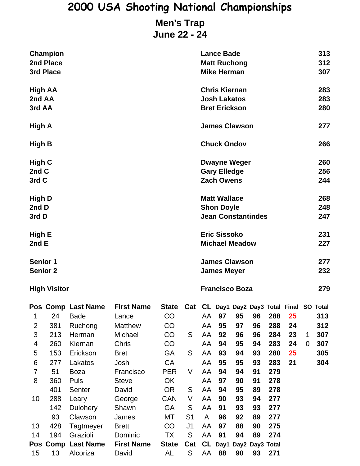#### **Men's Trap June 22 - 24**

|                                                                      | <b>Champion</b><br>2nd Place<br>3rd Place                        |                                                                                                                                    |                                                                                                                                         |                                                                                                 |                                                                     | <b>Lance Bade</b><br><b>Matt Ruchong</b><br><b>Mike Herman</b>        |                                                          |                                                          |                                                          |                                                                    |                                                                                | 313<br>312<br>307 |                                        |  |  |
|----------------------------------------------------------------------|------------------------------------------------------------------|------------------------------------------------------------------------------------------------------------------------------------|-----------------------------------------------------------------------------------------------------------------------------------------|-------------------------------------------------------------------------------------------------|---------------------------------------------------------------------|-----------------------------------------------------------------------|----------------------------------------------------------|----------------------------------------------------------|----------------------------------------------------------|--------------------------------------------------------------------|--------------------------------------------------------------------------------|-------------------|----------------------------------------|--|--|
| High AA<br>2nd AA<br>3rd AA                                          |                                                                  |                                                                                                                                    |                                                                                                                                         |                                                                                                 | <b>Chris Kiernan</b><br><b>Josh Lakatos</b><br><b>Bret Erickson</b> |                                                                       |                                                          |                                                          |                                                          |                                                                    | 283<br>283<br>280                                                              |                   |                                        |  |  |
| High A                                                               |                                                                  |                                                                                                                                    |                                                                                                                                         | <b>James Clawson</b>                                                                            |                                                                     |                                                                       |                                                          |                                                          | 277                                                      |                                                                    |                                                                                |                   |                                        |  |  |
| High B                                                               |                                                                  |                                                                                                                                    |                                                                                                                                         |                                                                                                 |                                                                     |                                                                       | <b>Chuck Ondov</b>                                       |                                                          |                                                          |                                                                    |                                                                                |                   | 266                                    |  |  |
| High C<br>2nd C<br>3rd C                                             |                                                                  |                                                                                                                                    |                                                                                                                                         |                                                                                                 |                                                                     | <b>Gary Elledge</b><br><b>Zach Owens</b>                              | <b>Dwayne Weger</b>                                      |                                                          |                                                          |                                                                    | 260<br>256<br>244                                                              |                   |                                        |  |  |
| High D<br>2nd D<br>3rd D                                             |                                                                  |                                                                                                                                    |                                                                                                                                         |                                                                                                 |                                                                     | <b>Matt Wallace</b><br><b>Shon Doyle</b><br><b>Jean Constantindes</b> |                                                          |                                                          |                                                          |                                                                    |                                                                                | 268<br>248<br>247 |                                        |  |  |
| High E<br>2nd E                                                      |                                                                  |                                                                                                                                    |                                                                                                                                         |                                                                                                 |                                                                     | <b>Eric Sissoko</b><br><b>Michael Meadow</b>                          |                                                          |                                                          |                                                          |                                                                    |                                                                                |                   | 231<br>227                             |  |  |
| <b>Senior 1</b><br><b>Senior 2</b>                                   |                                                                  |                                                                                                                                    |                                                                                                                                         |                                                                                                 |                                                                     | <b>James Clawson</b><br><b>James Meyer</b>                            |                                                          |                                                          |                                                          |                                                                    |                                                                                |                   | 277<br>232                             |  |  |
|                                                                      | <b>High Visitor</b>                                              |                                                                                                                                    |                                                                                                                                         |                                                                                                 |                                                                     | <b>Francisco Boza</b>                                                 |                                                          |                                                          |                                                          |                                                                    |                                                                                |                   | 279                                    |  |  |
| 1<br>$\overline{2}$<br>3<br>4<br>5<br>6<br>$\overline{7}$<br>8<br>10 | 24<br>381<br>213<br>260<br>153<br>277<br>51<br>360<br>401<br>288 | Pos Comp Last Name<br><b>Bade</b><br>Ruchong<br>Herman<br>Kiernan<br>Erickson<br>Lakatos<br><b>Boza</b><br>Puls<br>Senter<br>Leary | <b>First Name</b><br>Lance<br><b>Matthew</b><br>Michael<br>Chris<br><b>Bret</b><br>Josh<br>Francisco<br><b>Steve</b><br>David<br>George | <b>State</b><br>CO<br>CO<br>CO<br>CO<br>GA<br>CA<br><b>PER</b><br>OK<br><b>OR</b><br><b>CAN</b> | S<br>S<br>V<br>S<br>V                                               | AA<br>AA<br>AA<br>AA<br>AA<br>AA<br>AA<br>AA<br>AA<br>AA              | 97<br>95<br>92<br>94<br>93<br>95<br>94<br>97<br>94<br>90 | 95<br>97<br>96<br>95<br>94<br>95<br>94<br>90<br>95<br>93 | 96<br>96<br>96<br>94<br>93<br>93<br>91<br>91<br>89<br>94 | 288<br>288<br>284<br>283<br>280<br>283<br>279<br>278<br>278<br>277 | Cat CL Day1 Day2 Day3 Total Final SO Total<br>25<br>24<br>23<br>24<br>25<br>21 | $\mathbf 1$<br>0  | 313<br>312<br>307<br>307<br>305<br>304 |  |  |
| 13<br>14                                                             | 142<br>93<br>428<br>194                                          | Dulohery<br>Clawson<br>Tagtmeyer<br>Grazioli<br>Pos Comp Last Name                                                                 | Shawn<br>James<br><b>Brett</b><br>Dominic<br><b>First Name</b>                                                                          | <b>GA</b><br>МT<br>CO<br>TX<br><b>State</b>                                                     | S<br>S <sub>1</sub><br>J <sub>1</sub><br>${\mathsf S}$<br>Cat       | AA<br>A<br>AA<br>AA                                                   | 91<br>96<br>97<br>91<br>CL Day1                          | 93<br>92<br>88<br>94                                     | 93<br>89<br>90<br>89<br>Day2 Day3 Total                  | 277<br>277<br>275<br>274                                           |                                                                                |                   |                                        |  |  |
| 15                                                                   | 13                                                               | Alcoriza                                                                                                                           | David                                                                                                                                   | AL                                                                                              | S                                                                   | AA                                                                    | 88                                                       | 90                                                       | 93                                                       | 271                                                                |                                                                                |                   |                                        |  |  |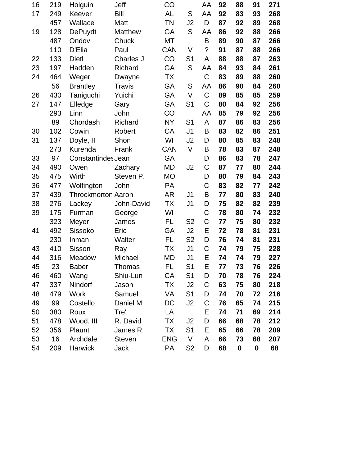| 16 | 219 | Holguin                   | Jeff          | CO         |                | AA          | 92 | 88 | 91 | 271 |
|----|-----|---------------------------|---------------|------------|----------------|-------------|----|----|----|-----|
| 17 | 249 | Keever                    | <b>Bill</b>   | <b>AL</b>  | S              | AA          | 92 | 83 | 93 | 268 |
|    | 457 | Wallace                   | Matt          | <b>TN</b>  | J <sub>2</sub> | D           | 87 | 92 | 89 | 268 |
| 19 | 128 | <b>DePuydt</b>            | Matthew       | GA         | S              | AA          | 86 | 92 | 88 | 266 |
|    | 487 | Ondov                     | Chuck         | MT         |                | B           | 89 | 90 | 87 | 266 |
|    | 110 | D'Elia                    | Paul          | <b>CAN</b> | V              | $\tilde{?}$ | 91 | 87 | 88 | 266 |
| 22 | 133 | <b>Dietl</b>              | Charles J     | CO         | S <sub>1</sub> | A           | 88 | 88 | 87 | 263 |
| 23 | 197 | Hadden                    | Richard       | GA         | S              | AA          | 84 | 93 | 84 | 261 |
| 24 | 464 | Weger                     | Dwayne        | <b>TX</b>  |                | $\mathsf C$ | 83 | 89 | 88 | 260 |
|    | 56  | <b>Brantley</b>           | Travis        | GA         | S              | AA          | 86 | 90 | 84 | 260 |
| 26 | 430 | Taniguchi                 | Yuichi        | GA         | V              | $\mathsf C$ | 89 | 85 | 85 | 259 |
| 27 | 147 | Elledge                   | Gary          | GA         | S <sub>1</sub> | $\mathsf C$ | 80 | 84 | 92 | 256 |
|    | 293 | Linn                      | John          | CO         |                | AA          | 85 | 79 | 92 | 256 |
|    | 89  | Chordash                  | Richard       | <b>NY</b>  | S <sub>1</sub> | A           | 87 | 86 | 83 | 256 |
| 30 | 102 | Cowin                     | Robert        | CA         | J <sub>1</sub> | B           | 83 | 82 | 86 | 251 |
| 31 | 137 | Doyle, II                 | Shon          | WI         | J <sub>2</sub> | D           | 80 | 85 | 83 | 248 |
|    | 273 | Kurenda                   | Frank         | <b>CAN</b> | $\vee$         | B           | 78 | 83 | 87 | 248 |
| 33 | 97  | Constantindes Jean        |               | GA         |                | D           | 86 | 83 | 78 | 247 |
| 34 | 490 | Owen                      | Zachary       | <b>MD</b>  | J <sub>2</sub> | C           | 87 | 77 | 80 | 244 |
| 35 | 475 | Wirth                     | Steven P.     | <b>MO</b>  |                | D           | 80 | 79 | 84 | 243 |
| 36 | 477 | Wolfington                | John          | PA         |                | $\mathsf C$ | 83 | 82 | 77 | 242 |
| 37 | 439 | <b>Throckmorton Aaron</b> |               | AR         | J <sub>1</sub> | B           | 77 | 80 | 83 | 240 |
| 38 | 276 | Lackey                    | John-David    | TX         | J <sub>1</sub> | D           | 75 | 82 | 82 | 239 |
| 39 | 175 | Furman                    | George        | WI         |                | C           | 78 | 80 | 74 | 232 |
|    | 323 | Meyer                     | James         | <b>FL</b>  | S <sub>2</sub> | $\mathsf C$ | 77 | 75 | 80 | 232 |
| 41 | 492 | Sissoko                   | Eric          | GA         | J2             | E           | 72 | 78 | 81 | 231 |
|    | 230 | Inman                     | Walter        | <b>FL</b>  | S <sub>2</sub> | D           | 76 | 74 | 81 | 231 |
| 43 | 410 | Sisson                    | Ray           | TX         | J <sub>1</sub> | C           | 74 | 79 | 75 | 228 |
| 44 | 316 | Meadow                    | Michael       | <b>MD</b>  | J <sub>1</sub> | E           | 74 | 74 | 79 | 227 |
| 45 | 23  | <b>Baber</b>              | Thomas        | FL.        | S <sub>1</sub> | E           | 77 | 73 | 76 | 226 |
| 46 | 460 | Wang                      | Shiu-Lun      | CA         | S <sub>1</sub> | D           | 70 | 78 | 76 | 224 |
| 47 | 337 | Nindorf                   | Jason         | ТX         | J2             | C           | 63 | 75 | 80 | 218 |
| 48 | 479 | Work                      | Samuel        | VA         | S <sub>1</sub> | D           | 74 | 70 | 72 | 216 |
| 49 | 99  | Costello                  | Daniel M      | DC         | J2             | C           | 76 | 65 | 74 | 215 |
| 50 | 380 | Roux                      | Tre'          | LA         |                | Е           | 74 | 71 | 69 | 214 |
| 51 | 478 | Wood, III                 | R. David      | TX         | J <sub>2</sub> | D           | 66 | 68 | 78 | 212 |
| 52 | 356 | Plaunt                    | James R       | ТX         | S <sub>1</sub> | Е           | 65 | 66 | 78 | 209 |
| 53 | 16  | Archdale                  | <b>Steven</b> | <b>ENG</b> | V              | A           | 66 | 73 | 68 | 207 |
| 54 | 209 | Harwick                   | Jack          | PA         | S <sub>2</sub> | D           | 68 | 0  | 0  | 68  |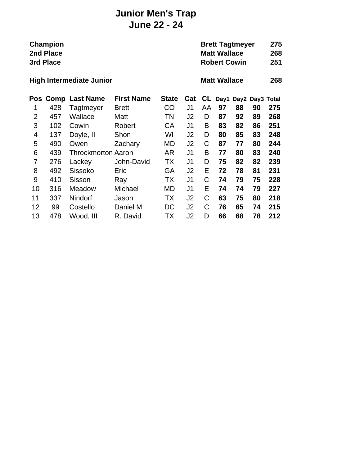#### **Junior Men's Trap June 22 - 24**

|                | Champion<br>2nd Place<br>3rd Place |                           |                   |              |                |    |                     | <b>Brett Tagtmeyer</b><br><b>Matt Wallace</b><br><b>Robert Cowin</b> |                 |     |  |  |  |
|----------------|------------------------------------|---------------------------|-------------------|--------------|----------------|----|---------------------|----------------------------------------------------------------------|-----------------|-----|--|--|--|
|                | <b>High Intermediate Junior</b>    |                           |                   |              |                |    | <b>Matt Wallace</b> |                                                                      |                 |     |  |  |  |
| Pos            |                                    | <b>Comp Last Name</b>     | <b>First Name</b> | <b>State</b> | Cat            | CL | Day1                |                                                                      | Day2 Day3 Total |     |  |  |  |
| 1              | 428                                | Tagtmeyer                 | <b>Brett</b>      | CO           | J <sub>1</sub> | AA | 97                  | 88                                                                   | 90              | 275 |  |  |  |
| $\overline{2}$ | 457                                | Wallace                   | Matt              | TN           | J <sub>2</sub> | D  | 87                  | 92                                                                   | 89              | 268 |  |  |  |
| 3              | 102                                | Cowin                     | Robert            | СA           | J <sub>1</sub> | B  | 83                  | 82                                                                   | 86              | 251 |  |  |  |
| 4              | 137                                | Doyle, II                 | Shon              | WI           | J <sub>2</sub> | D  | 80                  | 85                                                                   | 83              | 248 |  |  |  |
| 5              | 490                                | Owen                      | Zachary           | MD           | J <sub>2</sub> | С  | 87                  | 77                                                                   | 80              | 244 |  |  |  |
| 6              | 439                                | <b>Throckmorton Aaron</b> |                   | AR           | J1             | В  | 77                  | 80                                                                   | 83              | 240 |  |  |  |
| 7              | 276                                | Lackey                    | John-David        | TX           | J <sub>1</sub> | D  | 75                  | 82                                                                   | 82              | 239 |  |  |  |
| 8              | 492                                | Sissoko                   | Eric              | GA           | J <sub>2</sub> | E  | 72                  | 78                                                                   | 81              | 231 |  |  |  |
| 9              | 410                                | Sisson                    | Ray               | ТX           | J <sub>1</sub> | C  | 74                  | 79                                                                   | 75              | 228 |  |  |  |
| 10             | 316                                | Meadow                    | Michael           | MD           | J <sub>1</sub> | E  | 74                  | 74                                                                   | 79              | 227 |  |  |  |
| 11             | 337                                | Nindorf                   | Jason             | ТX           | J <sub>2</sub> | C  | 63                  | 75                                                                   | 80              | 218 |  |  |  |
| 12             | 99                                 | Costello                  | Daniel M          | DC           | J2             | C  | 76                  | 65                                                                   | 74              | 215 |  |  |  |
| 13             | 478                                | Wood, III                 | R. David          | ТX           | J <sub>2</sub> | D  | 66                  | 68                                                                   | 78              | 212 |  |  |  |